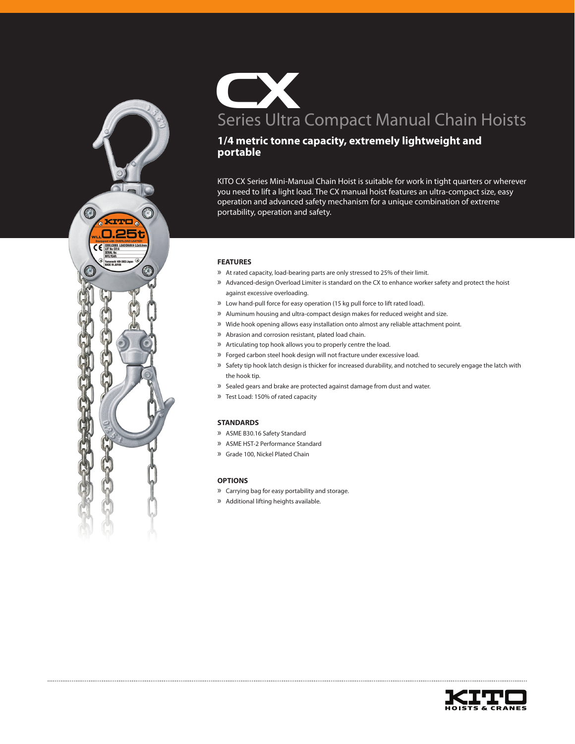

CX Series Ultra Compact Manual Chain Hoists

# **1/4 metric tonne capacity, extremely lightweight and portable**

KITO CX Series Mini-Manual Chain Hoist is suitable for work in tight quarters or wherever you need to lift a light load. The CX manual hoist features an ultra-compact size, easy operation and advanced safety mechanism for a unique combination of extreme portability, operation and safety.

## **FEATURES**

- » At rated capacity, load-bearing parts are only stressed to 25% of their limit.
- » Advanced-design Overload Limiter is standard on the CX to enhance worker safety and protect the hoist against excessive overloading.
- » Low hand-pull force for easy operation (15 kg pull force to lift rated load).
- » Aluminum housing and ultra-compact design makes for reduced weight and size.
- » Wide hook opening allows easy installation onto almost any reliable attachment point.
- » Abrasion and corrosion resistant, plated load chain.
- » Articulating top hook allows you to properly centre the load.
- » Forged carbon steel hook design will not fracture under excessive load.
- » Safety tip hook latch design is thicker for increased durability, and notched to securely engage the latch with the hook tip.
- » Sealed gears and brake are protected against damage from dust and water.
- » Test Load: 150% of rated capacity

#### **STANDARDS**

- » ASME B30.16 Safety Standard
- » ASME HST-2 Performance Standard
- » Grade 100, Nickel Plated Chain

## **OPTIONS**

- » Carrying bag for easy portability and storage.
- » Additional lifting heights available.